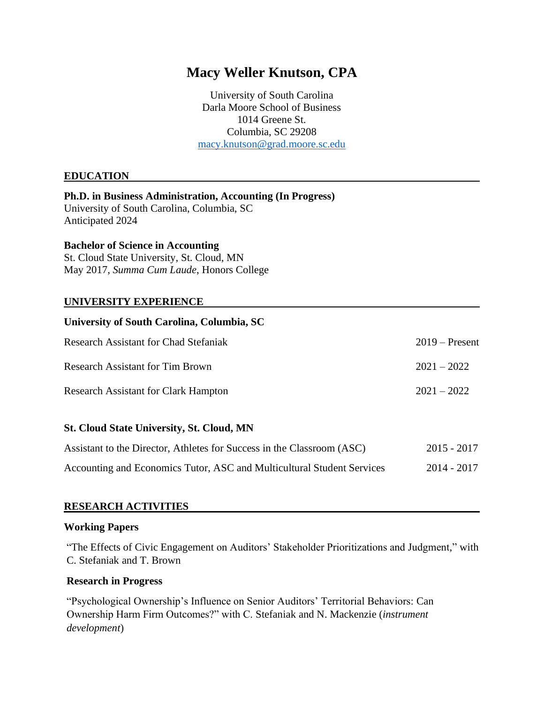# **Macy Weller Knutson, CPA**

University of South Carolina Darla Moore School of Business 1014 Greene St. Columbia, SC 29208 [macy.knutson@grad.moore.sc.edu](mailto:macy.knutson@grad.moore.sc.edu)

## **EDUCATION**

#### **Ph.D. in Business Administration, Accounting (In Progress)** University of South Carolina, Columbia, SC

Anticipated 2024

#### **Bachelor of Science in Accounting**

St. Cloud State University, St. Cloud, MN May 2017, *Summa Cum Laude*, Honors College

#### **UNIVERSITY EXPERIENCE**

| University of South Carolina, Columbia, SC  |                  |
|---------------------------------------------|------------------|
| Research Assistant for Chad Stefaniak       | $2019$ – Present |
| <b>Research Assistant for Tim Brown</b>     | $2021 - 2022$    |
| <b>Research Assistant for Clark Hampton</b> | $2021 - 2022$    |

#### **St. Cloud State University, St. Cloud, MN**

| Assistant to the Director, Athletes for Success in the Classroom (ASC) | $2015 - 2017$ |
|------------------------------------------------------------------------|---------------|
| Accounting and Economics Tutor, ASC and Multicultural Student Services | $2014 - 2017$ |

#### **RESEARCH ACTIVITIES**

#### **Working Papers**

"The Effects of Civic Engagement on Auditors' Stakeholder Prioritizations and Judgment," with C. Stefaniak and T. Brown

#### **Research in Progress**

"Psychological Ownership's Influence on Senior Auditors' Territorial Behaviors: Can Ownership Harm Firm Outcomes?" with C. Stefaniak and N. Mackenzie (*instrument development*)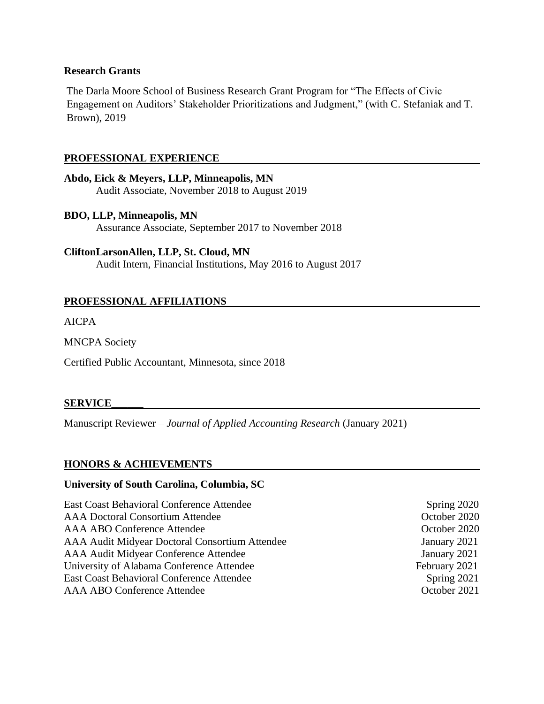#### **Research Grants**

The Darla Moore School of Business Research Grant Program for "The Effects of Civic Engagement on Auditors' Stakeholder Prioritizations and Judgment," (with C. Stefaniak and T. Brown), 2019

## **PROFESSIONAL EXPERIENCE**

**Abdo, Eick & Meyers, LLP, Minneapolis, MN** Audit Associate, November 2018 to August 2019

**BDO, LLP, Minneapolis, MN** Assurance Associate, September 2017 to November 2018

**CliftonLarsonAllen, LLP, St. Cloud, MN** Audit Intern, Financial Institutions, May 2016 to August 2017

## **PROFESSIONAL AFFILIATIONS**

AICPA

MNCPA Society

Certified Public Accountant, Minnesota, since 2018

#### **SERVICE\_\_\_\_\_\_**

Manuscript Reviewer – *Journal of Applied Accounting Research* (January 2021)

#### **HONORS & ACHIEVEMENTS**

#### **University of South Carolina, Columbia, SC**

East Coast Behavioral Conference Attendee Spring 2020 AAA Doctoral Consortium Attendee October 2020 AAA ABO Conference Attendee **October 2020** AAA Audit Midyear Doctoral Consortium Attendee January 2021 AAA Audit Midyear Conference Attendee January 2021 University of Alabama Conference Attendee February 2021 East Coast Behavioral Conference Attendee Spring 2021 AAA ABO Conference Attendee **October 2021**